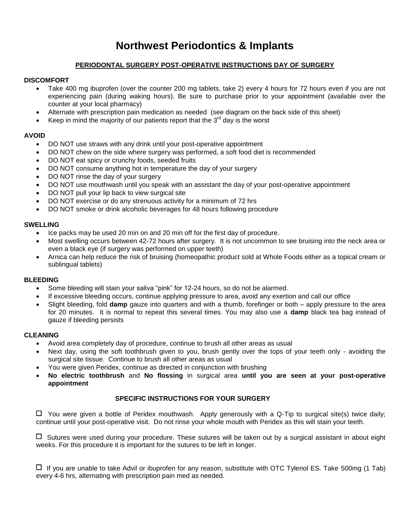# **Northwest Periodontics & Implants**

# **PERIODONTAL SURGERY POST-OPERATIVE INSTRUCTIONS DAY OF SURGERY**

## **DISCOMFORT**

- Take 400 mg ibuprofen (over the counter 200 mg tablets, take 2) every 4 hours for 72 hours even if you are not experiencing pain (during waking hours). Be sure to purchase prior to your appointment (available over the counter at your local pharmacy)
- Alternate with prescription pain medication as needed (see diagram on the back side of this sheet)
- Keep in mind the majority of our patients report that the  $3<sup>rd</sup>$  day is the worst

## **AVOID**

- DO NOT use straws with any drink until your post-operative appointment
- DO NOT chew on the side where surgery was performed, a soft food diet is recommended
- DO NOT eat spicy or crunchy foods, seeded fruits
- DO NOT consume anything hot in temperature the day of your surgery
- DO NOT rinse the day of your surgery
- DO NOT use mouthwash until you speak with an assistant the day of your post-operative appointment
- DO NOT pull your lip back to view surgical site
- DO NOT exercise or do any strenuous activity for a minimum of 72 hrs
- DO NOT smoke or drink alcoholic beverages for 48 hours following procedure

## **SWELLING**

- Ice packs may be used 20 min on and 20 min off for the first day of procedure.
- Most swelling occurs between 42-72 hours after surgery. It is not uncommon to see bruising into the neck area or even a black eye (if surgery was performed on upper teeth)
- Arnica can help reduce the risk of bruising (homeopathic product sold at Whole Foods either as a topical cream or sublingual tablets)

### **BLEEDING**

- Some bleeding will stain your saliva "pink" for 12-24 hours, so do not be alarmed.
- If excessive bleeding occurs, continue applying pressure to area, avoid any exertion and call our office
- Slight bleeding, fold **damp** gauze into quarters and with a thumb, forefinger or both apply pressure to the area for 20 minutes. It is normal to repeat this several times. You may also use a **damp** black tea bag instead of gauze if bleeding persists

### **CLEANING**

- Avoid area completely day of procedure, continue to brush all other areas as usual
- Next day, using the soft toothbrush given to you, brush gently over the tops of your teeth only avoiding the surgical site tissue. Continue to brush all other areas as usual
- You were given Peridex, continue as directed in conjunction with brushing
- **No electric toothbrush** and **No flossing** in surgical area **until you are seen at your post-operative appointment**

# **SPECIFIC INSTRUCTIONS FOR YOUR SURGERY**

 $\Box$  You were given a bottle of Peridex mouthwash. Apply generously with a Q-Tip to surgical site(s) twice daily; continue until your post-operative visit. Do not rinse your whole mouth with Peridex as this will stain your teeth.

 $\Box$  Sutures were used during your procedure. These sutures will be taken out by a surgical assistant in about eight weeks. For this procedure it is important for the sutures to be left in longer.

 $\Box$  If you are unable to take Advil or ibuprofen for any reason, substitute with OTC Tylenol ES. Take 500mg (1 Tab) every 4-6 hrs, alternating with prescription pain med as needed.